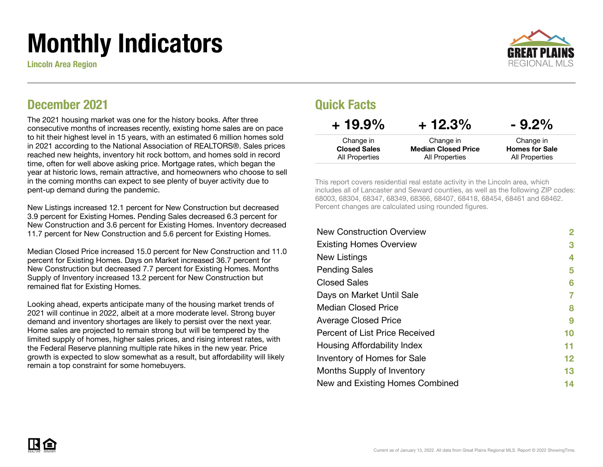# Monthly Indicators

Lincoln Area Region



#### December 2021

The 2021 housing market was one for the history books. After three consecutive months of increases recently, existing home sales are on pace to hit their highest level in 15 years, with an estimated 6 million homes sold in 2021 according to the National Association of REALTORS®. Sales prices reached new heights, inventory hit rock bottom, and homes sold in record time, often for well above asking price. Mortgage rates, which began the year at historic lows, remain attractive, and homeowners who choose to sell in the coming months can expect to see plenty of buyer activity due to pent-up demand during the pandemic.

New Listings increased 12.1 percent for New Construction but decreased 3.9 percent for Existing Homes. Pending Sales decreased 6.3 percent for New Construction and 3.6 percent for Existing Homes. Inventory decreased 11.7 percent for New Construction and 5.6 percent for Existing Homes.

Median Closed Price increased 15.0 percent for New Construction and 11.0 percent for Existing Homes. Days on Market increased 36.7 percent for New Construction but decreased 7.7 percent for Existing Homes. Months Supply of Inventory increased 13.2 percent for New Construction but remained flat for Existing Homes.

Looking ahead, experts anticipate many of the housing market trends of 2021 will continue in 2022, albeit at a more moderate level. Strong buyer demand and inventory shortages are likely to persist over the next year. Home sales are projected to remain strong but will be tempered by the limited supply of homes, higher sales prices, and rising interest rates, with the Federal Reserve planning multiple rate hikes in the new year. Price growth is expected to slow somewhat as a result, but affordability will likely remain a top constraint for some homebuyers.

#### Quick Facts

| $+19.9\%$                             | $+12.3%$                                            | $-9.2\%$                                |
|---------------------------------------|-----------------------------------------------------|-----------------------------------------|
| Change in                             | Change in                                           | Change in                               |
| <b>Closed Sales</b><br>All Properties | <b>Median Closed Price</b><br><b>All Properties</b> | <b>Homes for Sale</b><br>All Properties |
|                                       |                                                     |                                         |

This report covers residential real estate activity in the Lincoln area, which includes all of Lancaster and Seward counties, as well as the following ZIP codes: 68003, 68304, 68347, 68349, 68366, 68407, 68418, 68454, 68461 and 68462. Percent changes are calculated using rounded figures.

| <b>New Construction Overview</b> | 2  |
|----------------------------------|----|
| <b>Existing Homes Overview</b>   | 3  |
| New Listings                     | 4  |
| <b>Pending Sales</b>             | 5  |
| <b>Closed Sales</b>              | 6  |
| Days on Market Until Sale        | 7  |
| <b>Median Closed Price</b>       | 8  |
| <b>Average Closed Price</b>      | 9  |
| Percent of List Price Received   | 10 |
| Housing Affordability Index      | 11 |
| Inventory of Homes for Sale      | 12 |
| Months Supply of Inventory       | 13 |
| New and Existing Homes Combined  | 14 |
|                                  |    |

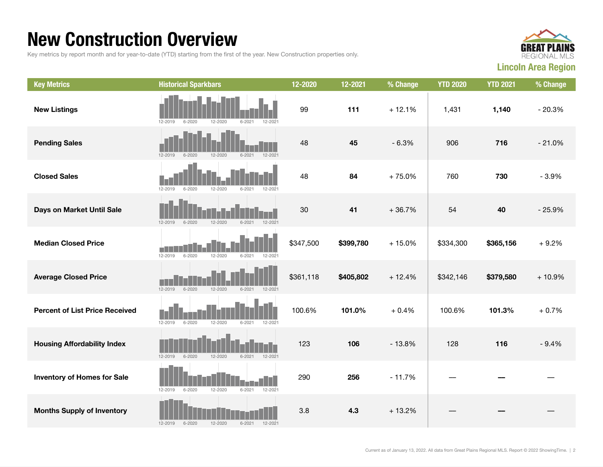### New Construction Overview

Key metrics by report month and for year-to-date (YTD) starting from the first of the year. New Construction properties only.



| <b>Key Metrics</b>                    | <b>Historical Sparkbars</b>                                           | 12-2020   | 12-2021   | % Change | <b>YTD 2020</b> | <b>YTD 2021</b> | % Change |
|---------------------------------------|-----------------------------------------------------------------------|-----------|-----------|----------|-----------------|-----------------|----------|
| <b>New Listings</b>                   | 12-2019<br>$6 - 2020$<br>12-2020<br>$6 - 2021$<br>$12 - 202$          | 99        | 111       | $+12.1%$ | 1,431           | 1,140           | $-20.3%$ |
| <b>Pending Sales</b>                  | $12 - 2019$<br>$6 - 2020$<br>12-2020<br>$6 - 2021$<br>12-2021         | 48        | 45        | $-6.3%$  | 906             | 716             | $-21.0%$ |
| <b>Closed Sales</b>                   | 12-2019<br>$6 - 2020$<br>12-2020<br>$6 - 2021$<br>12-2021             | 48        | 84        | $+75.0%$ | 760             | 730             | $-3.9%$  |
| Days on Market Until Sale             | 12-2019<br>$6 - 2020$<br>$6 - 2021$<br>12-2021<br>12-2020             | 30        | 41        | $+36.7%$ | 54              | 40              | $-25.9%$ |
| <b>Median Closed Price</b>            | 12-2019<br>$6 - 2020$<br>12-2020<br>$6 - 2021$<br>12-2021             | \$347,500 | \$399,780 | $+15.0%$ | \$334,300       | \$365,156       | $+9.2%$  |
| <b>Average Closed Price</b>           | $12 - 2019$<br>$6 - 2020$<br>$12 - 2020$<br>$6 - 2021$<br>$12 - 2021$ | \$361,118 | \$405,802 | $+12.4%$ | \$342,146       | \$379,580       | $+10.9%$ |
| <b>Percent of List Price Received</b> | $12 - 2019$<br>$6 - 2020$<br>12-2020<br>$6 - 2021$<br>12-2021         | 100.6%    | 101.0%    | $+0.4%$  | 100.6%          | 101.3%          | $+0.7%$  |
| <b>Housing Affordability Index</b>    | $12 - 2019$<br>$6 - 2020$<br>12-2020<br>12-2021<br>$6 - 2021$         | 123       | 106       | $-13.8%$ | 128             | 116             | $-9.4%$  |
| <b>Inventory of Homes for Sale</b>    | $6 - 2020$<br>12-2020<br>12-2021<br>12-2019<br>$6 - 2021$             | 290       | 256       | $-11.7%$ |                 |                 |          |
| <b>Months Supply of Inventory</b>     | 12-2020<br>12-2019<br>$6 - 2020$<br>$6 - 2021$<br>12-2021             | 3.8       | 4.3       | $+13.2%$ |                 |                 |          |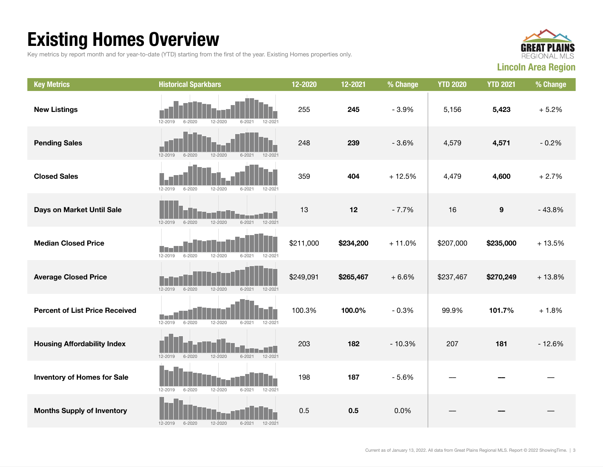## Existing Homes Overview

Key metrics by report month and for year-to-date (YTD) starting from the first of the year. Existing Homes properties only.



| <b>Key Metrics</b>                    | <b>Historical Sparkbars</b>                                         | 12-2020   | 12-2021   | % Change | <b>YTD 2020</b> | <b>YTD 2021</b>  | % Change |
|---------------------------------------|---------------------------------------------------------------------|-----------|-----------|----------|-----------------|------------------|----------|
| <b>New Listings</b>                   | $6 - 2020$<br>12-2020<br>12-2019<br>$6 - 202$<br>12-2021            | 255       | 245       | $-3.9%$  | 5,156           | 5,423            | $+5.2%$  |
| <b>Pending Sales</b>                  | $12 - 2019$<br>$6 - 2020$<br>12-2020<br>$6 - 2021$<br>$12 - 2021$   | 248       | 239       | $-3.6%$  | 4,579           | 4,571            | $-0.2%$  |
| <b>Closed Sales</b>                   | $6 - 2020$<br>12-2019<br>12-2020<br>$6 - 2021$<br>12-2021           | 359       | 404       | $+12.5%$ | 4,479           | 4,600            | $+2.7%$  |
| Days on Market Until Sale             | $6 - 2021$<br>12-2021<br>$12 - 2019$<br>$6 - 2020$<br>12-2020       | 13        | 12        | $-7.7%$  | 16              | $\boldsymbol{9}$ | $-43.8%$ |
| <b>Median Closed Price</b>            | $12 - 2019$<br>$6 - 2020$<br>12-2020<br>$6 - 2021$<br>12-2021       | \$211,000 | \$234,200 | $+11.0%$ | \$207,000       | \$235,000        | $+13.5%$ |
| <b>Average Closed Price</b>           | $6 - 2020$<br>$12 - 2020$<br>12-2019<br>$6 - 2021$<br>12-2021       | \$249,091 | \$265,467 | $+6.6%$  | \$237,467       | \$270,249        | $+13.8%$ |
| <b>Percent of List Price Received</b> | M.<br>$6 - 2020$<br>$12 - 2019$<br>12-2020<br>$6 - 2021$<br>12-2021 | 100.3%    | 100.0%    | $-0.3%$  | 99.9%           | 101.7%           | $+1.8%$  |
| <b>Housing Affordability Index</b>    | 12-2020<br>$6 - 2021$<br>12-2021<br>$12 - 2019$<br>$6 - 2020$       | 203       | 182       | $-10.3%$ | 207             | 181              | $-12.6%$ |
| <b>Inventory of Homes for Sale</b>    | 12-2019<br>$6 - 2020$<br>12-2020<br>$6 - 2021$<br>12-2021           | 198       | 187       | $-5.6%$  |                 |                  |          |
| <b>Months Supply of Inventory</b>     | 12-2019<br>$6 - 2020$<br>12-2020<br>$6 - 2021$<br>$12 - 2021$       | 0.5       | 0.5       | 0.0%     |                 |                  |          |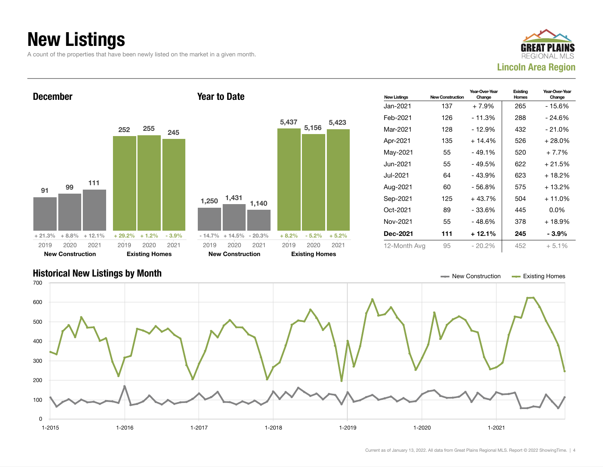## New Listings

A count of the properties that have been newly listed on the market in a given month.





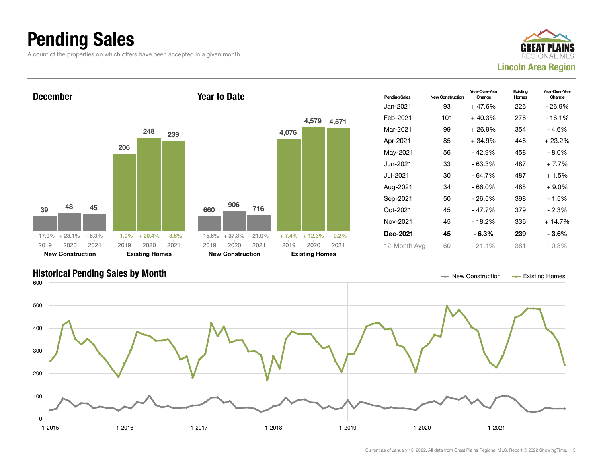## Pending Sales

A count of the properties on which offers have been accepted in a given month.





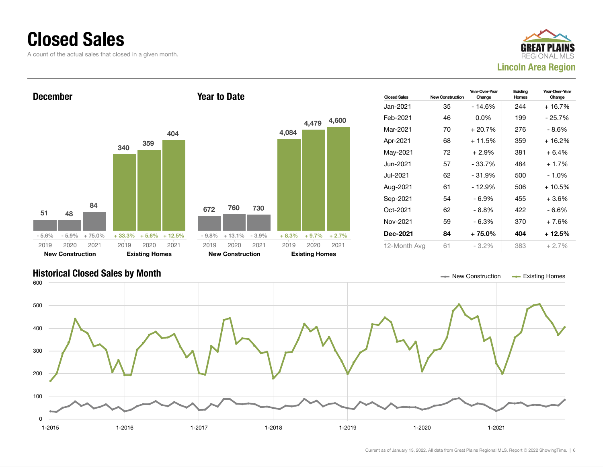### Closed Sales

A count of the actual sales that closed in a given month.





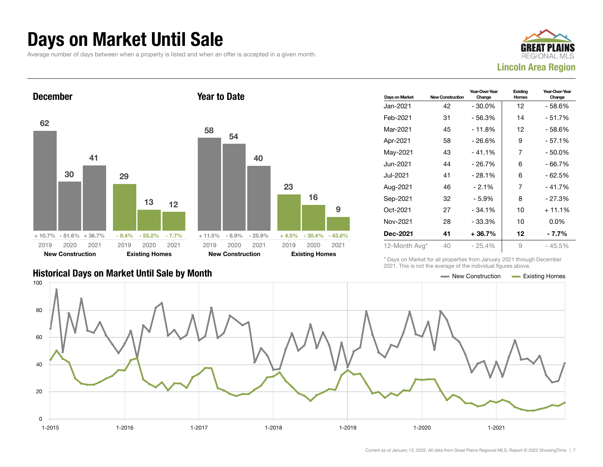#### Days on Market Until Sale

Average number of days between when a property is listed and when an offer is accepted in a given month.





|                                               | LUL II IIIIU IU IIUL LIIU UVULUUU UI LIIU IIIUIVIUULI IIUUI UU UDUVU. |  |
|-----------------------------------------------|-----------------------------------------------------------------------|--|
| Historical Days on Market Until Sale by Month | $\equiv$ New Construction $\equiv$ Existing Homes                     |  |

| Days on Market | <b>New Construction</b> | Year-Over-Year<br>Change | Existing<br><b>Homes</b> | Year-Over-Year<br>Change |
|----------------|-------------------------|--------------------------|--------------------------|--------------------------|
| Jan-2021       | 42                      | $-30.0\%$                | 12                       | - 58.6%                  |
| Feb-2021       | 31                      | - 56.3%                  | 14                       | - 51.7%                  |
| Mar-2021       | 45                      | $-11.8%$                 | 12                       | $-58.6%$                 |
| Apr-2021       | 58                      | $-26.6%$                 | 9                        | - 57.1%                  |
| May-2021       | 43                      | $-41.1%$                 | 7                        | $-50.0%$                 |
| Jun-2021.      | 44                      | $-26.7%$                 | 6                        | $-66.7%$                 |
| Jul-2021       | 41                      | $-28.1%$                 | 6                        | - 62.5%                  |
| Aug-2021       | 46                      | $-2.1\%$                 | 7                        | - 41.7%                  |
| Sep-2021       | 32                      | $-5.9%$                  | 8                        | $-27.3%$                 |
| Oct-2021       | 27                      | $-34.1%$                 | 10                       | $+11.1%$                 |
| Nov-2021       | 28                      | - 33.3%                  | 10                       | $0.0\%$                  |
| Dec-2021       | 41                      | $+36.7%$                 | 12                       | - 7.7%                   |
| 12-Month Avg*  | 40                      | $-25.4%$                 | 9                        | $-45.5%$                 |

\* Days on Market for all properties from January 2021 through December 2021. This is not the average of the individual figures above.

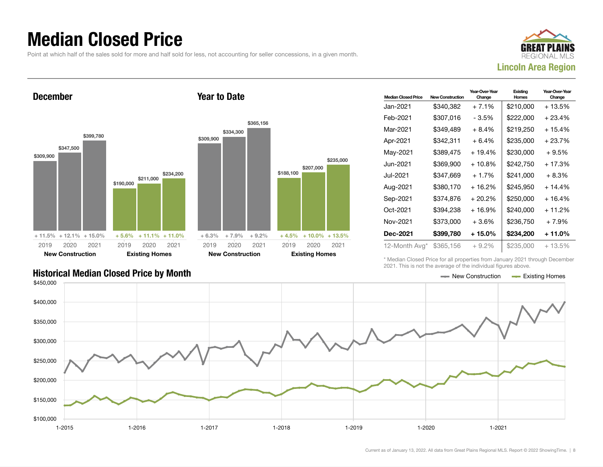### Median Closed Price

Point at which half of the sales sold for more and half sold for less, not accounting for seller concessions, in a given month.

Year to Date



December





| <b>Median Closed Price</b> | New Construction | Year-Over-Year<br>Change | Existing<br>Homes | Year-Over-Year<br>Change |
|----------------------------|------------------|--------------------------|-------------------|--------------------------|
| Jan-2021                   | \$340,382        | $+7.1%$                  | \$210,000         | $+13.5%$                 |
| Feb-2021                   | \$307,016        | - 3.5%                   | \$222,000         | $+23.4%$                 |
| Mar-2021                   | \$349.489        | $+8.4%$                  | \$219.250         | $+15.4%$                 |
| Apr-2021                   | \$342,311        | $+6.4%$                  | \$235,000         | $+23.7%$                 |
| May-2021                   | \$389,475        | $+19.4%$                 | \$230,000         | $+9.5%$                  |
| Jun-2021                   | \$369.900        | $+10.8\%$                | \$242,750         | $+17.3%$                 |
| Jul-2021.                  | \$347.669        | $+1.7%$                  | \$241,000         | $+8.3%$                  |
| Aug-2021                   | \$380,170        | $+16.2%$                 | \$245,950         | $+14.4%$                 |
| Sep-2021                   | \$374,876        | $+20.2%$                 | \$250,000         | $+16.4%$                 |
| Oct-2021                   | \$394.238        | $+16.9%$                 | \$240,000         | $+11.2%$                 |
| Nov-2021                   | \$373,000        | $+3.6%$                  | \$236,750         | $+7.9%$                  |
| Dec-2021                   | \$399,780        | + 15.0%                  | \$234,200         | $+11.0\%$                |
| 12-Month Avg*              | \$365,156        | $+9.2\%$                 | \$235,000         | $+13.5%$                 |

Historical Median Closed Price by Month **New Construction According Closed Price by Month** New Construction According Homes

\* Median Closed Price for all properties from January 2021 through December 2021. This is not the average of the individual figures above.

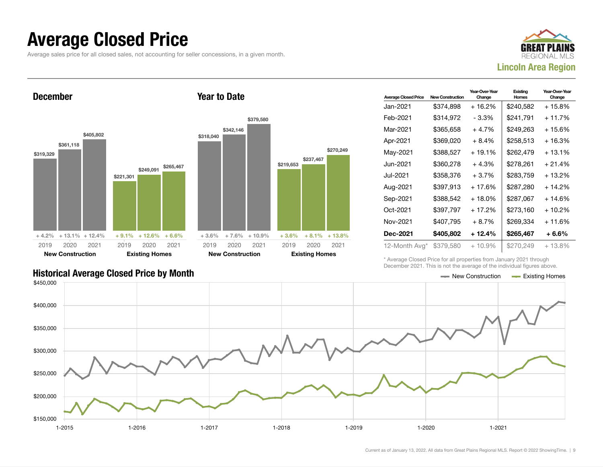#### Average Closed Price

Average sales price for all closed sales, not accounting for seller concessions, in a given month.





| <b>Average Closed Price</b> | <b>New Construction</b> | Year-Over-Year<br>Change | Existing<br>Homes | Year-Over-Year<br>Change |
|-----------------------------|-------------------------|--------------------------|-------------------|--------------------------|
| Jan-2021.                   | \$374,898               | $+16.2%$                 | \$240,582         | + 15.8%                  |
| Feb-2021                    | \$314,972               | $-3.3%$                  | \$241,791         | $+11.7%$                 |
| Mar-2021                    | \$365,658               | $+4.7%$                  | \$249,263         | + 15.6%                  |
| Apr-2021                    | \$369.020               | $+8.4%$                  | \$258,513         | + 16.3%                  |
| May-2021                    | \$388,527               | $+19.1%$                 | \$262,479         | + 13.1%                  |
| Jun-2021.                   | \$360,278               | $+4.3%$                  | \$278.261         | $+21.4%$                 |
| Jul-2021.                   | \$358,376               | $+3.7%$                  | \$283,759         | + 13.2%                  |
| Aug-2021                    | \$397.913               | $+17.6%$                 | \$287,280         | + 14.2%                  |
| Sep-2021                    | \$388,542               | + 18.0%                  | \$287,067         | + 14.6%                  |
| Oct-2021                    | \$397,797               | $+17.2%$                 | \$273,160         | + 10.2%                  |
| Nov-2021                    | \$407,795               | $+8.7%$                  | \$269.334         | + 11.6%                  |
| <b>Dec-2021</b>             | \$405,802               | + 12.4%                  | \$265,467         | + 6.6%                   |
| 12-Month Avg*               | \$379,580               | $+10.9\%$                | \$270,249         | $+13.8\%$                |

\* Average Closed Price for all properties from January 2021 through December 2021. This is not the average of the individual figures above.

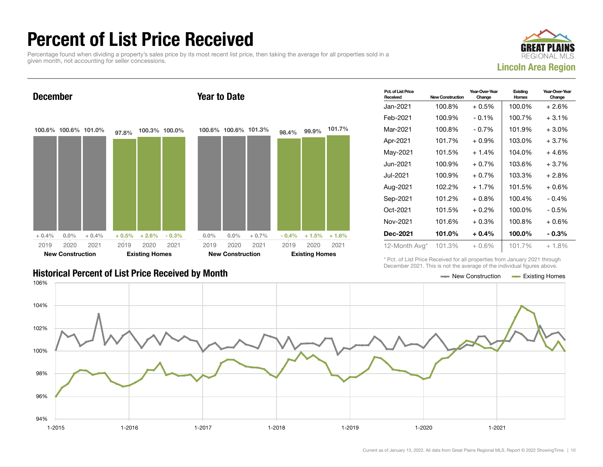## Percent of List Price Received

Percentage found when dividing a property's sales price by its most recent list price, then taking the average for all properties sold in a given month, not accounting for seller concessions.





| Pct. of List Price<br>Received | <b>New Construction</b> | Year-Over-Year<br>Change | Existing<br>Homes | Year-Over-Year<br>Change |
|--------------------------------|-------------------------|--------------------------|-------------------|--------------------------|
| Jan-2021                       | 100.8%                  | $+0.5%$                  | 100.0%            | $+2.6%$                  |
| Feb-2021                       | 100.9%                  | $-0.1\%$                 | 100.7%            | $+3.1%$                  |
| Mar-2021                       | 100.8%                  | $-0.7%$                  | 101.9%            | $+3.0%$                  |
| Apr-2021                       | 101.7%                  | $+0.9\%$                 | 103.0%            | $+3.7%$                  |
| May-2021                       | 101.5%                  | $+1.4%$                  | 104.0%            | $+4.6%$                  |
| Jun-2021                       | 100.9%                  | $+0.7%$                  | 103.6%            | $+3.7%$                  |
| Jul-2021                       | 100.9%                  | $+0.7%$                  | 103.3%            | $+2.8%$                  |
| Aug-2021                       | 102.2%                  | $+1.7%$                  | 101.5%            | $+0.6%$                  |
| Sep-2021                       | 101.2%                  | $+0.8%$                  | 100.4%            | $-0.4%$                  |
| Oct-2021                       | 101.5%                  | $+0.2%$                  | 100.0%            | - 0.5%                   |
| Nov-2021                       | 101.6%                  | $+0.3\%$                 | 100.8%            | $+0.6%$                  |
| <b>Dec-2021</b>                | 101.0%                  | $+0.4%$                  | 100.0%            | $-0.3\%$                 |
| 12-Month Avg*                  | 101.3%                  | $+0.6%$                  | 101.7%            | $+1.8%$                  |

#### Historical Percent of List Price Received by Month New Construction According Homes

\* Pct. of List Price Received for all properties from January 2021 through December 2021. This is not the average of the individual figures above.

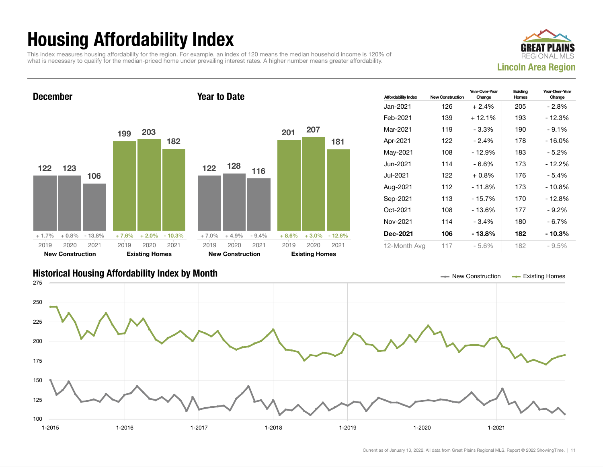## Housing Affordability Index

This index measures housing affordability for the region. For example, an index of 120 means the median household income is 120% of what is necessary to qualify for the median-priced home under prevailing interest rates. A higher number means greater affordability.



December 122 123 106  $+1.7\%$   $+0.8\%$  - 13.8% 199 203 182  $+ 7.6\% + 2.0\% - 10.3\%$ 2019 New Construction 2020 2021 2019 Existing Homes 2020 2021 Year to Date 122 128 116  $+ 7.0\% + 4.9\% - 9.4\%$ 201 207 181 + 8.6% + 3.0% - 12.6% 2019 New Construction 2020 2021 2019 Existing Homes 2020 2021

| <b>Affordability Index</b> | <b>New Construction</b> | Year-Over-Year<br>Change | Existing<br>Homes | Year-Over-Year<br>Change |
|----------------------------|-------------------------|--------------------------|-------------------|--------------------------|
| Jan-2021                   | 126                     | $+2.4%$                  | 205               | - 2.8%                   |
| Feb-2021                   | 139                     | $+12.1%$                 | 193               | $-12.3%$                 |
| Mar-2021                   | 119                     | - 3.3%                   | 190               | $-9.1%$                  |
| Apr-2021                   | 122                     | $-2.4%$                  | 178               | - 16.0%                  |
| May-2021                   | 108                     | $-12.9%$                 | 183               | $-5.2\%$                 |
| Jun-2021.                  | 114                     | - 6.6%                   | 173               | - 12.2%                  |
| Jul-2021.                  | 122                     | $+0.8\%$                 | 176               | - 5.4%                   |
| Aug-2021                   | 112                     | $-11.8%$                 | 173               | - 10.8%                  |
| Sep-2021                   | 113                     | $-15.7%$                 | 170               | - 12.8%                  |
| Oct-2021                   | 108                     | $-13.6%$                 | 177               | $-9.2\%$                 |
| Nov-2021                   | 114                     | $-3.4%$                  | 180               | - 6.7%                   |
| <b>Dec-2021</b>            | 106                     | - 13.8%                  | 182               | - 10.3%                  |
| 12-Month Avg               | 117                     | $-5.6%$                  | 182               | $-9.5%$                  |

#### Historical Housing Affordability Index by Month New Construction Existing Homes

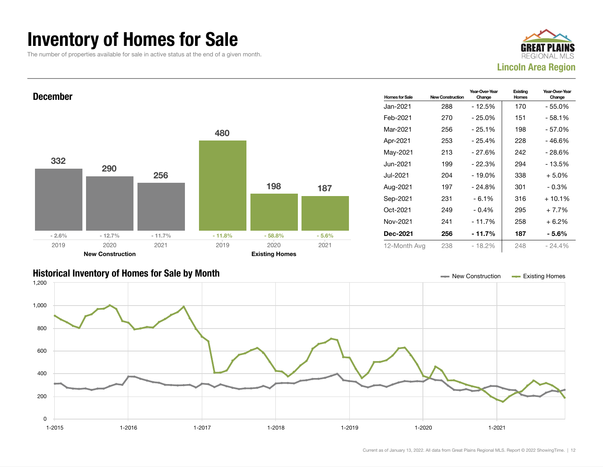### Inventory of Homes for Sale

The number of properties available for sale in active status at the end of a given month.





#### Historical Inventory of Homes for Sale by Month New Construction Existing Homes

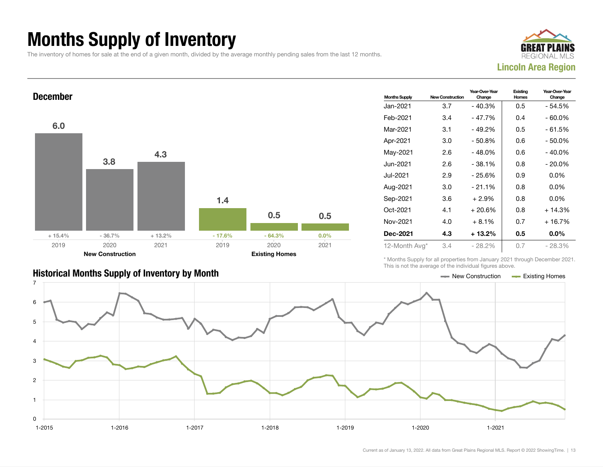## Months Supply of Inventory

The inventory of homes for sale at the end of a given month, divided by the average monthly pending sales from the last 12 months.





#### Historical Months Supply of Inventory by Month Month Accord Construction According Homes Existing Homes

| <b>Months Supply</b> | <b>New Construction</b> | Year-Over-Year<br>Change | Existing<br><b>Homes</b> | Year-Over-Year<br>Change |
|----------------------|-------------------------|--------------------------|--------------------------|--------------------------|
| Jan-2021             | 3.7                     | $-40.3%$                 | 0.5                      | - 54.5%                  |
| Feb-2021             | 3.4                     | $-47.7%$                 | 0.4                      | $-60.0\%$                |
| Mar-2021             | 3.1                     | $-49.2%$                 | 0.5                      | - 61.5%                  |
| Apr-2021             | 3.0                     | $-50.8%$                 | 0.6                      | - 50.0%                  |
| May-2021             | 2.6                     | $-48.0%$                 | 0.6                      | $-40.0\%$                |
| Jun-2021             | 2.6                     | $-38.1%$                 | 0.8                      | $-20.0%$                 |
| Jul-2021             | 2.9                     | $-25.6%$                 | 0.9                      | $0.0\%$                  |
| Aug-2021             | 3.0                     | $-21.1%$                 | 0.8                      | $0.0\%$                  |
| Sep-2021             | 3.6                     | $+2.9%$                  | 0.8                      | $0.0\%$                  |
| Oct-2021             | 4.1                     | $+20.6%$                 | 0.8                      | $+14.3%$                 |
| Nov-2021             | 4.0                     | $+8.1\%$                 | 0.7                      | $+16.7%$                 |
| <b>Dec-2021</b>      | 4.3                     | $+13.2\%$                | 0.5                      | $0.0\%$                  |
| 12-Month Avg*        | 3.4                     | $-28.2%$                 | 0.7                      | - 28.3%                  |

\* Months Supply for all properties from January 2021 through December 2021. This is not the average of the individual figures above.